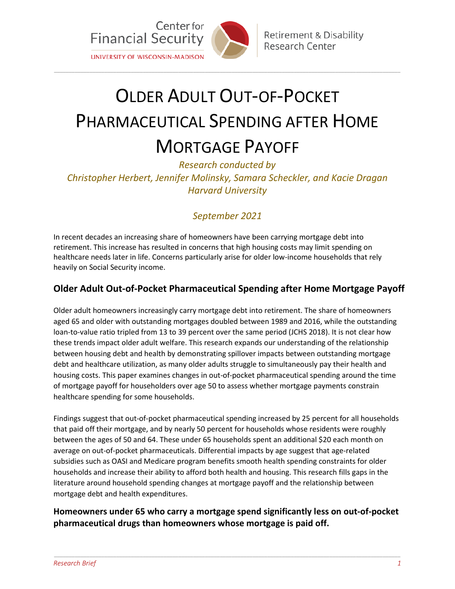

# OLDER ADULT OUT-OF-POCKET PHARMACEUTICAL SPENDING AFTER HOME MORTGAGE PAYOFF

\_\_\_\_\_\_\_\_\_\_\_\_\_\_\_\_\_\_\_\_\_\_\_\_\_\_\_\_\_\_\_\_\_\_\_\_\_\_\_\_\_\_\_\_\_\_\_\_\_\_\_\_\_\_\_\_\_\_\_\_\_\_\_\_\_\_\_\_\_\_\_\_\_\_\_\_\_\_\_\_\_\_\_\_\_\_\_\_\_\_\_\_\_\_\_\_\_\_\_\_\_\_\_\_\_\_\_\_\_\_\_\_\_\_\_\_\_

*Research conducted by Christopher Herbert, Jennifer Molinsky, Samara Scheckler, and Kacie Dragan Harvard University*

## *September 2021*

In recent decades an increasing share of homeowners have been carrying mortgage debt into retirement. This increase has resulted in concerns that high housing costs may limit spending on healthcare needs later in life. Concerns particularly arise for older low-income households that rely heavily on Social Security income.

### **Older Adult Out-of-Pocket Pharmaceutical Spending after Home Mortgage Payoff**

Older adult homeowners increasingly carry mortgage debt into retirement. The share of homeowners aged 65 and older with outstanding mortgages doubled between 1989 and 2016, while the outstanding loan-to-value ratio tripled from 13 to 39 percent over the same period (JCHS 2018). It is not clear how these trends impact older adult welfare. This research expands our understanding of the relationship between housing debt and health by demonstrating spillover impacts between outstanding mortgage debt and healthcare utilization, as many older adults struggle to simultaneously pay their health and housing costs. This paper examines changes in out-of-pocket pharmaceutical spending around the time of mortgage payoff for householders over age 50 to assess whether mortgage payments constrain healthcare spending for some households.

Findings suggest that out-of-pocket pharmaceutical spending increased by 25 percent for all households that paid off their mortgage, and by nearly 50 percent for households whose residents were roughly between the ages of 50 and 64. These under 65 households spent an additional \$20 each month on average on out-of-pocket pharmaceuticals. Differential impacts by age suggest that age-related subsidies such as OASI and Medicare program benefits smooth health spending constraints for older households and increase their ability to afford both health and housing. This research fills gaps in the literature around household spending changes at mortgage payoff and the relationship between mortgage debt and health expenditures.

#### **Homeowners under 65 who carry a mortgage spend significantly less on out-of-pocket pharmaceutical drugs than homeowners whose mortgage is paid off.**

\_\_\_\_\_\_\_\_\_\_\_\_\_\_\_\_\_\_\_\_\_\_\_\_\_\_\_\_\_\_\_\_\_\_\_\_\_\_\_\_\_\_\_\_\_\_\_\_\_\_\_\_\_\_\_\_\_\_\_\_\_\_\_\_\_\_\_\_\_\_\_\_\_\_\_\_\_\_\_\_\_\_\_\_\_\_\_\_\_\_\_\_\_\_\_\_\_\_\_\_\_\_\_\_\_\_\_\_\_\_\_\_\_\_\_\_\_